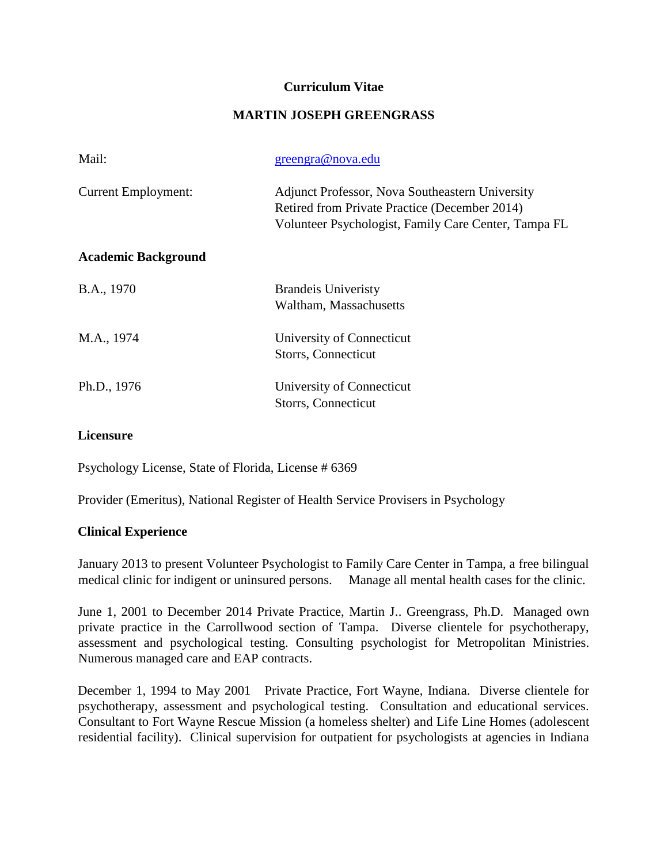### **Curriculum Vitae**

## **MARTIN JOSEPH GREENGRASS**

| Mail:                      | greengra@nova.edu                                                                                                                                               |
|----------------------------|-----------------------------------------------------------------------------------------------------------------------------------------------------------------|
| <b>Current Employment:</b> | <b>Adjunct Professor, Nova Southeastern University</b><br>Retired from Private Practice (December 2014)<br>Volunteer Psychologist, Family Care Center, Tampa FL |
| <b>Academic Background</b> |                                                                                                                                                                 |
| B.A., 1970                 | <b>Brandels</b> Univeristy<br>Waltham, Massachusetts                                                                                                            |
| M.A., 1974                 | University of Connecticut<br>Storrs, Connecticut                                                                                                                |
| Ph.D., 1976                | University of Connecticut<br>Storrs, Connecticut                                                                                                                |

### **Licensure**

Psychology License, State of Florida, License # 6369

Provider (Emeritus), National Register of Health Service Provisers in Psychology

#### **Clinical Experience**

January 2013 to present Volunteer Psychologist to Family Care Center in Tampa, a free bilingual medical clinic for indigent or uninsured persons. Manage all mental health cases for the clinic.

June 1, 2001 to December 2014 Private Practice, Martin J.. Greengrass, Ph.D. Managed own private practice in the Carrollwood section of Tampa. Diverse clientele for psychotherapy, assessment and psychological testing. Consulting psychologist for Metropolitan Ministries. Numerous managed care and EAP contracts.

December 1, 1994 to May 2001 Private Practice, Fort Wayne, Indiana. Diverse clientele for psychotherapy, assessment and psychological testing. Consultation and educational services. Consultant to Fort Wayne Rescue Mission (a homeless shelter) and Life Line Homes (adolescent residential facility). Clinical supervision for outpatient for psychologists at agencies in Indiana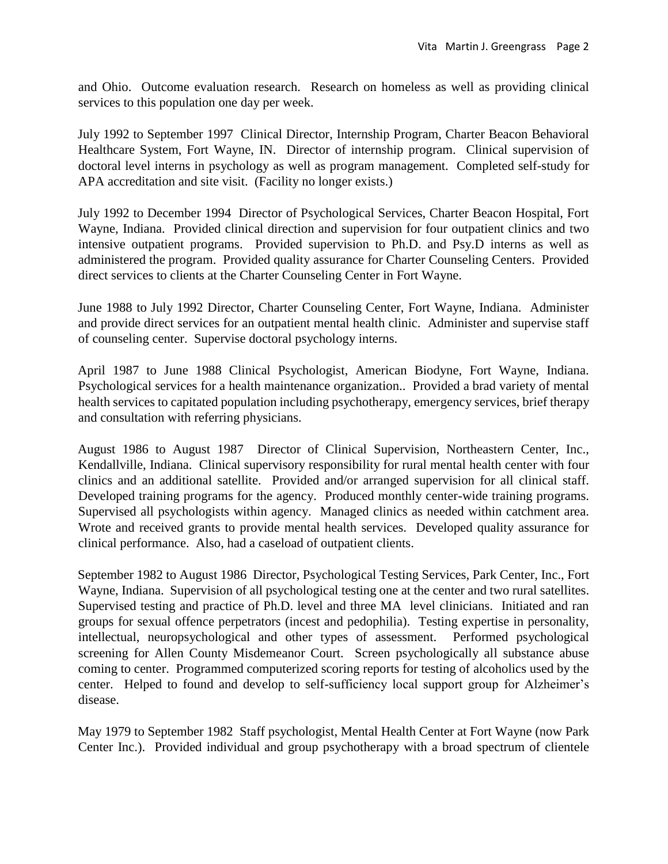and Ohio. Outcome evaluation research. Research on homeless as well as providing clinical services to this population one day per week.

July 1992 to September 1997 Clinical Director, Internship Program, Charter Beacon Behavioral Healthcare System, Fort Wayne, IN. Director of internship program. Clinical supervision of doctoral level interns in psychology as well as program management. Completed self-study for APA accreditation and site visit. (Facility no longer exists.)

July 1992 to December 1994 Director of Psychological Services, Charter Beacon Hospital, Fort Wayne, Indiana. Provided clinical direction and supervision for four outpatient clinics and two intensive outpatient programs. Provided supervision to Ph.D. and Psy.D interns as well as administered the program. Provided quality assurance for Charter Counseling Centers. Provided direct services to clients at the Charter Counseling Center in Fort Wayne.

June 1988 to July 1992 Director, Charter Counseling Center, Fort Wayne, Indiana. Administer and provide direct services for an outpatient mental health clinic. Administer and supervise staff of counseling center. Supervise doctoral psychology interns.

April 1987 to June 1988 Clinical Psychologist, American Biodyne, Fort Wayne, Indiana. Psychological services for a health maintenance organization.. Provided a brad variety of mental health services to capitated population including psychotherapy, emergency services, brief therapy and consultation with referring physicians.

August 1986 to August 1987 Director of Clinical Supervision, Northeastern Center, Inc., Kendallville, Indiana. Clinical supervisory responsibility for rural mental health center with four clinics and an additional satellite. Provided and/or arranged supervision for all clinical staff. Developed training programs for the agency. Produced monthly center-wide training programs. Supervised all psychologists within agency. Managed clinics as needed within catchment area. Wrote and received grants to provide mental health services. Developed quality assurance for clinical performance. Also, had a caseload of outpatient clients.

September 1982 to August 1986 Director, Psychological Testing Services, Park Center, Inc., Fort Wayne, Indiana. Supervision of all psychological testing one at the center and two rural satellites. Supervised testing and practice of Ph.D. level and three MA level clinicians. Initiated and ran groups for sexual offence perpetrators (incest and pedophilia). Testing expertise in personality, intellectual, neuropsychological and other types of assessment. Performed psychological screening for Allen County Misdemeanor Court. Screen psychologically all substance abuse coming to center. Programmed computerized scoring reports for testing of alcoholics used by the center. Helped to found and develop to self-sufficiency local support group for Alzheimer's disease.

May 1979 to September 1982 Staff psychologist, Mental Health Center at Fort Wayne (now Park Center Inc.). Provided individual and group psychotherapy with a broad spectrum of clientele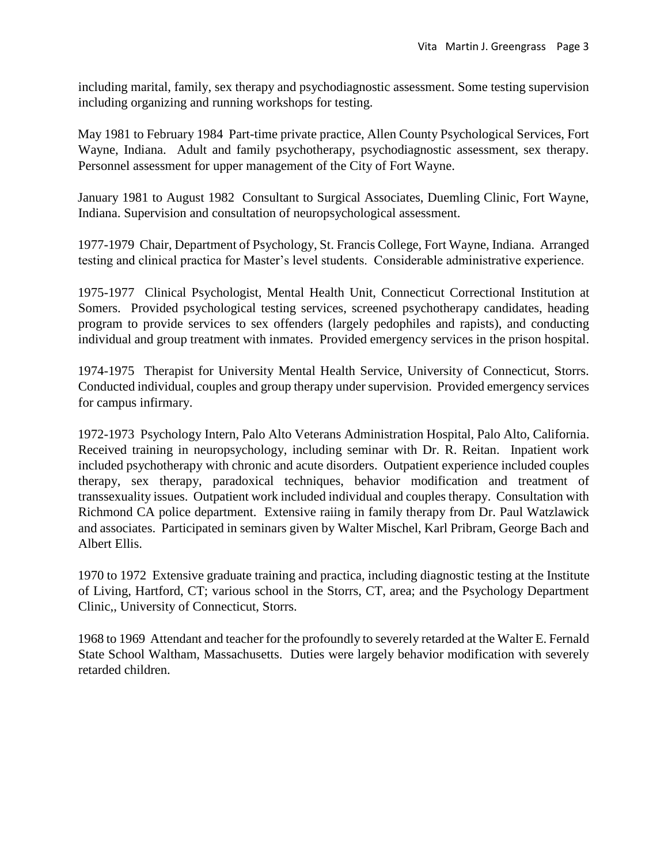including marital, family, sex therapy and psychodiagnostic assessment. Some testing supervision including organizing and running workshops for testing.

May 1981 to February 1984 Part-time private practice, Allen County Psychological Services, Fort Wayne, Indiana. Adult and family psychotherapy, psychodiagnostic assessment, sex therapy. Personnel assessment for upper management of the City of Fort Wayne.

January 1981 to August 1982 Consultant to Surgical Associates, Duemling Clinic, Fort Wayne, Indiana. Supervision and consultation of neuropsychological assessment.

1977-1979 Chair, Department of Psychology, St. Francis College, Fort Wayne, Indiana. Arranged testing and clinical practica for Master's level students. Considerable administrative experience.

1975-1977 Clinical Psychologist, Mental Health Unit, Connecticut Correctional Institution at Somers. Provided psychological testing services, screened psychotherapy candidates, heading program to provide services to sex offenders (largely pedophiles and rapists), and conducting individual and group treatment with inmates. Provided emergency services in the prison hospital.

1974-1975 Therapist for University Mental Health Service, University of Connecticut, Storrs. Conducted individual, couples and group therapy under supervision. Provided emergency services for campus infirmary.

1972-1973 Psychology Intern, Palo Alto Veterans Administration Hospital, Palo Alto, California. Received training in neuropsychology, including seminar with Dr. R. Reitan. Inpatient work included psychotherapy with chronic and acute disorders. Outpatient experience included couples therapy, sex therapy, paradoxical techniques, behavior modification and treatment of transsexuality issues. Outpatient work included individual and couples therapy. Consultation with Richmond CA police department. Extensive raiing in family therapy from Dr. Paul Watzlawick and associates. Participated in seminars given by Walter Mischel, Karl Pribram, George Bach and Albert Ellis.

1970 to 1972 Extensive graduate training and practica, including diagnostic testing at the Institute of Living, Hartford, CT; various school in the Storrs, CT, area; and the Psychology Department Clinic,, University of Connecticut, Storrs.

1968 to 1969 Attendant and teacher for the profoundly to severely retarded at the Walter E. Fernald State School Waltham, Massachusetts. Duties were largely behavior modification with severely retarded children.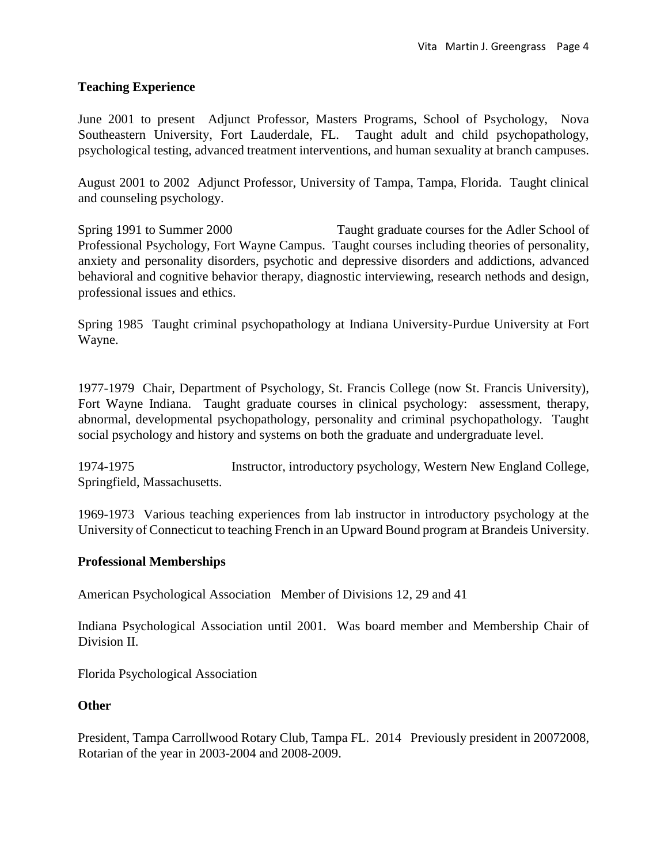## **Teaching Experience**

June 2001 to present Adjunct Professor, Masters Programs, School of Psychology, Nova Southeastern University, Fort Lauderdale, FL. Taught adult and child psychopathology, psychological testing, advanced treatment interventions, and human sexuality at branch campuses.

August 2001 to 2002 Adjunct Professor, University of Tampa, Tampa, Florida. Taught clinical and counseling psychology.

Spring 1991 to Summer 2000 Taught graduate courses for the Adler School of Professional Psychology, Fort Wayne Campus. Taught courses including theories of personality, anxiety and personality disorders, psychotic and depressive disorders and addictions, advanced behavioral and cognitive behavior therapy, diagnostic interviewing, research nethods and design, professional issues and ethics.

Spring 1985 Taught criminal psychopathology at Indiana University-Purdue University at Fort Wayne.

1977-1979 Chair, Department of Psychology, St. Francis College (now St. Francis University), Fort Wayne Indiana. Taught graduate courses in clinical psychology: assessment, therapy, abnormal, developmental psychopathology, personality and criminal psychopathology. Taught social psychology and history and systems on both the graduate and undergraduate level.

1974-1975 Instructor, introductory psychology, Western New England College, Springfield, Massachusetts.

1969-1973 Various teaching experiences from lab instructor in introductory psychology at the University of Connecticut to teaching French in an Upward Bound program at Brandeis University.

# **Professional Memberships**

American Psychological Association Member of Divisions 12, 29 and 41

Indiana Psychological Association until 2001. Was board member and Membership Chair of Division II.

Florida Psychological Association

### **Other**

President, Tampa Carrollwood Rotary Club, Tampa FL. 2014 Previously president in 20072008, Rotarian of the year in 2003-2004 and 2008-2009.